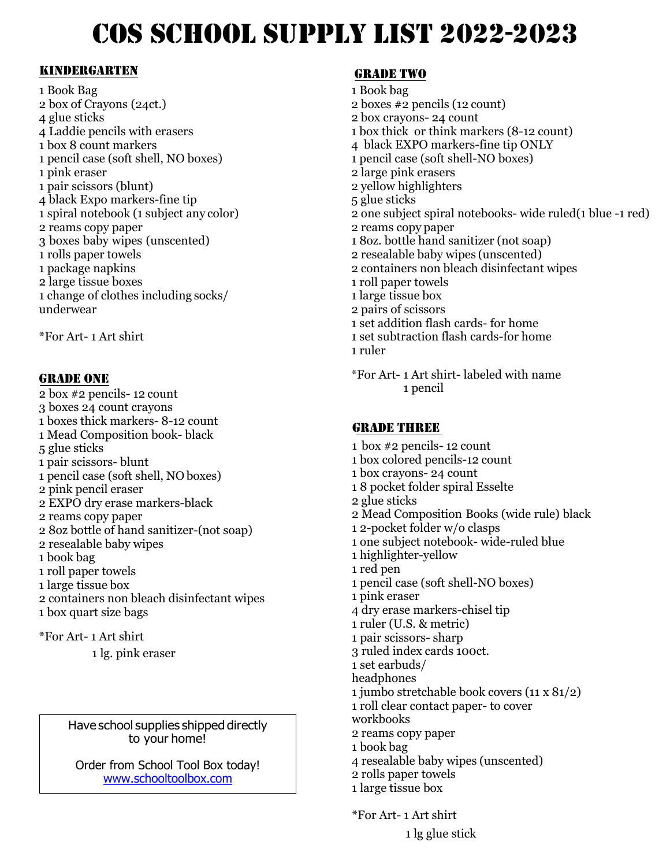# COS SCHOOL SUPPLY LIST 2022-2023

#### Kindergarten

1 Book Bag 2 box of Crayons (24ct.)<br>4 glue sticks 4 glue sticks 4 Laddie pencils with erasers 1 box 8 count markers 1 pencil case (soft shell, NO boxes) 1 pink eraser 1 pair scissors (blunt) 4 black Expo markers-fine tip 1 spiral notebook (1 subject any color) 2 reams copy paper 3 boxes baby wipes (unscented) 1 rolls paper towels 1 package napkins 2 large tissue boxes 1 change of clothes including socks/ underwear

\*For Art- 1 Art shirt

#### GRADE ONE

2 box #2 pencils- 12 count 3 boxes 24 count crayons 1 boxes thick markers- 8-12 count 1 Mead Composition book- black 5 glue sticks 1 pair scissors- blunt 1 pencil case (soft shell, NO boxes) 2 pink pencil eraser 2 EXPO dry erase markers-black 2 reams copy paper 2 8oz bottle of hand sanitizer-(not soap) 2 resealable baby wipes 1 book bag 1 roll paper towels 1 large tissue box 2 containers non bleach disinfectant wipes 1 box quart size bags \*For Art- 1 Art shirt

1 lg. pink eraser

Have school supplies shipped directly to your home!

Order from School Tool Box today! [www.schooltoolbox.com](http://www.schooltoolbox.com/)

## **GRADE TWO**

- 1 Book bag 2 boxes #2 pencils (12 count) 2 box crayons- 24 count 1 box thick or think markers (8-12 count) 4 black EXPO markers-fine tip ONLY 1 pencil case (soft shell-NO boxes) 2 large pink erasers 2 yellow highlighters 5 glue sticks 2 one subject spiral notebooks- wide ruled(1 blue -1 red) 2 reams copy paper 1 8oz. bottle hand sanitizer (not soap) 2 resealable baby wipes (unscented) 2 containers non bleach disinfectant wipes 1 roll paper towels 1 large tissue box 2 pairs of scissors 1 set addition flash cards- for home 1 set subtraction flash cards-for home
- 1 ruler
- \*For Art- 1 Art shirt- labeled with name 1 pencil

#### GRADE THREE

1 box #2 pencils- 12 count 1 box colored pencils-12 count 1 box crayons- 24 count 1 8 pocket folder spiral Esselte 2 glue sticks 2 Mead Composition Books (wide rule) black 1 2-pocket folder w/o clasps 1 one subject notebook- wide-ruled blue 1 highlighter-yellow 1 red pen 1 pencil case (soft shell-NO boxes) 1 pink eraser 4 dry erase markers-chisel tip 1 ruler (U.S. & metric) 1 pair scissors- sharp 3 ruled index cards 100ct. 1 set earbuds/ headphones 1 jumbo stretchable book covers (11 x 81/2) 1 roll clear contact paper- to cover workbooks 2 reams copy paper 1 book bag 4 resealable baby wipes (unscented) 2 rolls paper towels 1 large tissue box

\*For Art- 1 Art shirt

1 lg glue stick